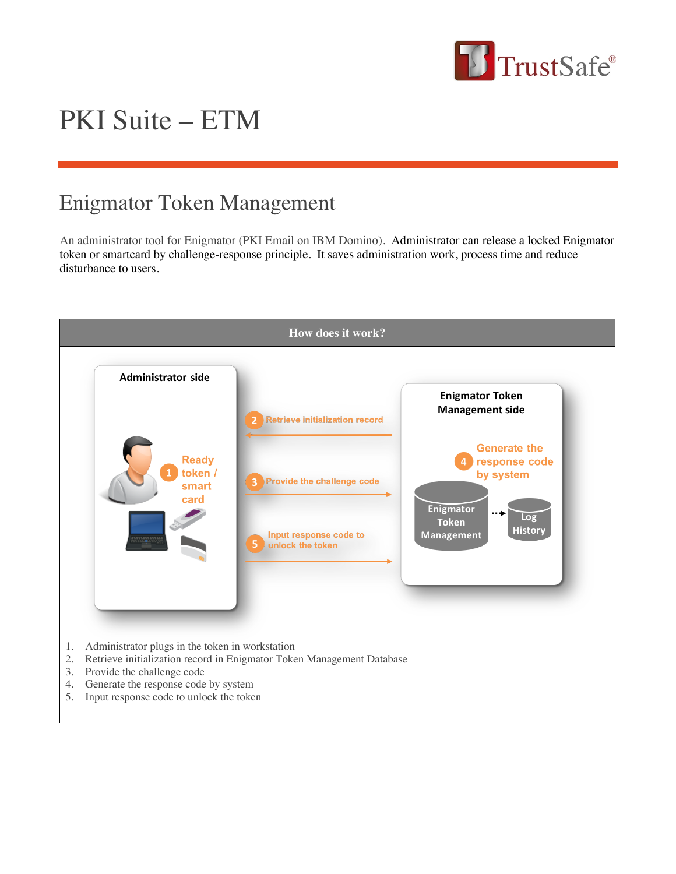

# PKI Suite – ETM

# Enigmator Token Management

An administrator tool for Enigmator (PKI Email on IBM Domino). Administrator can release a locked Enigmator token or smartcard by challenge-response principle. It saves administration work, process time and reduce disturbance to users.

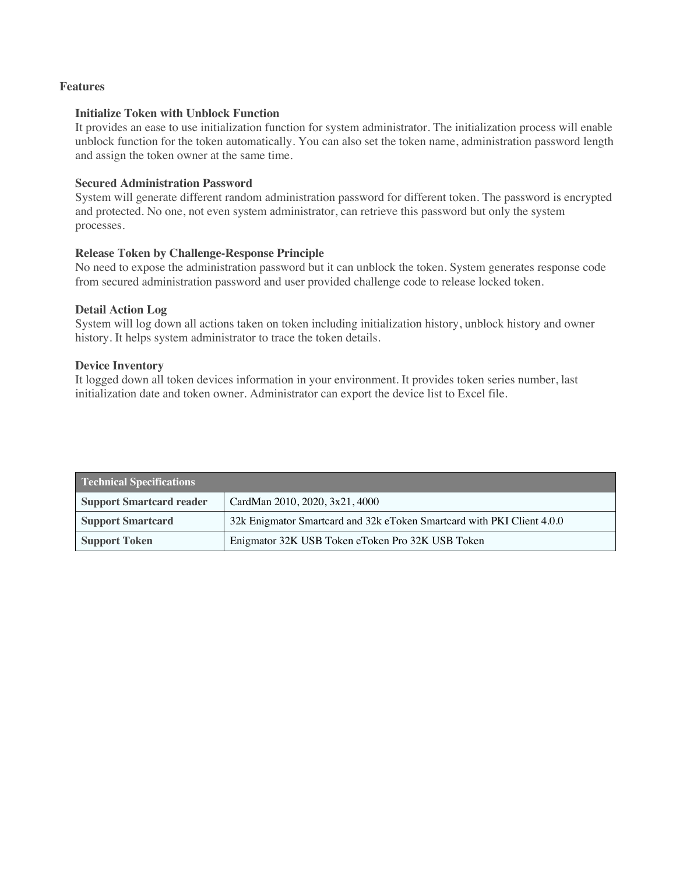# **Features**

#### **Initialize Token with Unblock Function**

It provides an ease to use initialization function for system administrator. The initialization process will enable unblock function for the token automatically. You can also set the token name, administration password length and assign the token owner at the same time.

# **Secured Administration Password**

System will generate different random administration password for different token. The password is encrypted and protected. No one, not even system administrator, can retrieve this password but only the system processes.

# **Release Token by Challenge-Response Principle**

No need to expose the administration password but it can unblock the token. System generates response code from secured administration password and user provided challenge code to release locked token.

## **Detail Action Log**

System will log down all actions taken on token including initialization history, unblock history and owner history. It helps system administrator to trace the token details.

## **Device Inventory**

It logged down all token devices information in your environment. It provides token series number, last initialization date and token owner. Administrator can export the device list to Excel file.

| <b>Technical Specifications</b> |                                                                        |
|---------------------------------|------------------------------------------------------------------------|
| <b>Support Smartcard reader</b> | CardMan 2010, 2020, 3x21, 4000                                         |
| <b>Support Smartcard</b>        | 32k Enigmator Smartcard and 32k eToken Smartcard with PKI Client 4.0.0 |
| <b>Support Token</b>            | Enigmator 32K USB Token eToken Pro 32K USB Token                       |